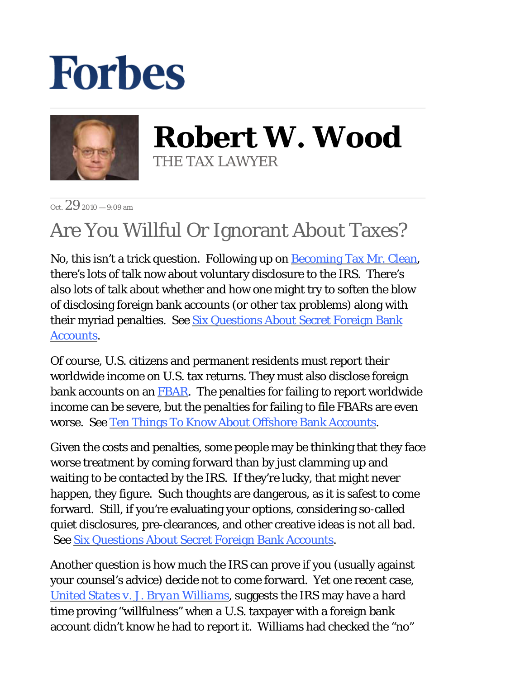## **Forbes**



**Robert W. Wood** THE TAX LAWYER

 $Oct. 292010 - 9.09$  am

## Are You Willful Or Ignorant About Taxes?

No, this isn't a trick question. Following up on Becoming Tax Mr. Clean, there's lots of talk now about voluntary disclosure to the IRS. There's also lots of talk about whether and how one might try to soften the blow of disclosing foreign bank accounts (or other tax problems) along with their myriad penalties. See Six Questions About Secret Foreign Bank Accounts.

Of course, U.S. citizens and permanent residents must report their worldwide income on U.S. tax returns. They must also disclose foreign bank accounts on an FBAR. The penalties for failing to report worldwide income can be severe, but the penalties for failing to file FBARs are even worse. See Ten Things To Know About Offshore Bank Accounts.

Given the costs and penalties, some people may be thinking that they face worse treatment by coming forward than by just clamming up and waiting to be contacted by the IRS. If they're lucky, that might never happen, they figure. Such thoughts are dangerous, as it is safest to come forward. Still, if you're evaluating your options, considering so-called quiet disclosures, pre-clearances, and other creative ideas is not all bad. See Six Questions About Secret Foreign Bank Accounts.

Another question is how much the IRS can prove if you (usually against your counsel's advice) decide not to come forward. Yet one recent case, *United States v. J. Bryan Williams*, suggests the IRS may have a hard time proving "willfulness" when a U.S. taxpayer with a foreign bank account didn't know he had to report it. Williams had checked the "no"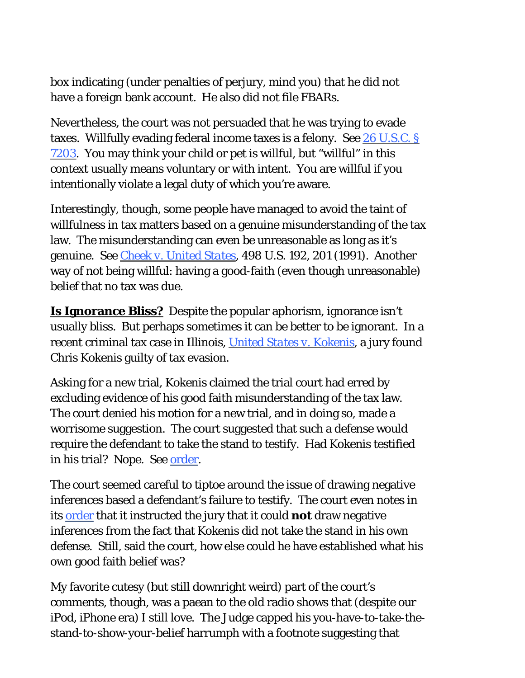box indicating (under penalties of perjury, mind you) that he did not have a foreign bank account. He also did not file FBARs.

Nevertheless, the court was not persuaded that he was trying to evade taxes. Willfully evading federal income taxes is a felony. See 26 U.S.C. § 7203. You may think your child or pet is willful, but "willful" in this context usually means voluntary or with intent. You are willful if you intentionally violate a legal duty of which you're aware.

Interestingly, though, some people have managed to avoid the taint of willfulness in tax matters based on a genuine misunderstanding of the tax law. The misunderstanding can even be unreasonable as long as it's genuine. See *Cheek v. United States*, 498 U.S. 192, 201 (1991). Another way of not being willful: having a good-faith (even though unreasonable) belief that no tax was due.

**Is Ignorance Bliss?** Despite the popular aphorism, ignorance isn't usually bliss. But perhaps sometimes it can be better to be ignorant. In a recent criminal tax case in Illinois, *United States v. Kokenis*, a jury found Chris Kokenis guilty of tax evasion.

Asking for a new trial, Kokenis claimed the trial court had erred by excluding evidence of his good faith misunderstanding of the tax law. The court denied his motion for a new trial, and in doing so, made a worrisome suggestion. The court suggested that such a defense would require the defendant to take the stand to testify. Had Kokenis testified in his trial? Nope. See order.

The court seemed careful to tiptoe around the issue of drawing negative inferences based a defendant's failure to testify. The court even notes in its order that it instructed the jury that it could *not* draw negative inferences from the fact that Kokenis did not take the stand in his own defense. Still, said the court, how else could he have established what his own good faith belief was?

My favorite cutesy (but still downright weird) part of the court's comments, though, was a paean to the old radio shows that (despite our iPod, iPhone era) I still love. The Judge capped his you-have-to-take-thestand-to-show-your-belief harrumph with a footnote suggesting that